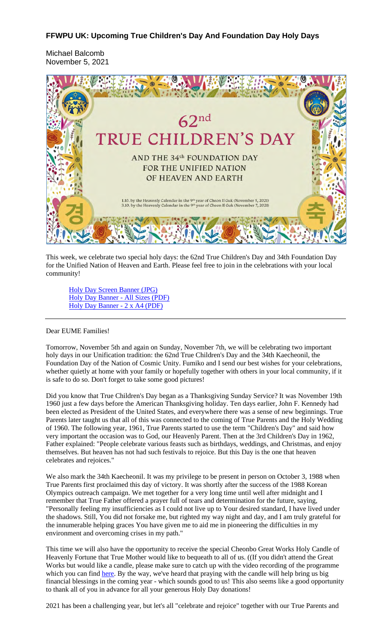## **FFWPU UK: Upcoming True Children's Day And Foundation Day Holy Days**

Michael Balcomb November 5, 2021



This week, we celebrate two special holy days: the 62nd True Children's Day and 34th Foundation Day for the Unified Nation of Heaven and Earth. Please feel free to join in the celebrations with your local community!

Holy Day Screen Banner (JPG) Holy Day Banner - All Sizes (PDF) Holy Day Banner - 2 x A4 (PDF)

## Dear EUME Families!

Tomorrow, November 5th and again on Sunday, November 7th, we will be celebrating two important holy days in our Unification tradition: the 62nd True Children's Day and the 34th Kaecheonil, the Foundation Day of the Nation of Cosmic Unity. Fumiko and I send our best wishes for your celebrations, whether quietly at home with your family or hopefully together with others in your local community, if it is safe to do so. Don't forget to take some good pictures!

Did you know that True Children's Day began as a Thanksgiving Sunday Service? It was November 19th 1960 just a few days before the American Thanksgiving holiday. Ten days earlier, John F. Kennedy had been elected as President of the United States, and everywhere there was a sense of new beginnings. True Parents later taught us that all of this was connected to the coming of True Parents and the Holy Wedding of 1960. The following year, 1961, True Parents started to use the term "Children's Day" and said how very important the occasion was to God, our Heavenly Parent. Then at the 3rd Children's Day in 1962, Father explained: "People celebrate various feasts such as birthdays, weddings, and Christmas, and enjoy themselves. But heaven has not had such festivals to rejoice. But this Day is the one that heaven celebrates and rejoices."

We also mark the 34th Kaecheonil. It was my privilege to be present in person on October 3, 1988 when True Parents first proclaimed this day of victory. It was shortly after the success of the 1988 Korean Olympics outreach campaign. We met together for a very long time until well after midnight and I remember that True Father offered a prayer full of tears and determination for the future, saying, "Personally feeling my insufficiencies as I could not live up to Your desired standard, I have lived under the shadows. Still, You did not forsake me, but righted my way night and day, and I am truly grateful for the innumerable helping graces You have given me to aid me in pioneering the difficulties in my environment and overcoming crises in my path."

This time we will also have the opportunity to receive the special Cheonbo Great Works Holy Candle of Heavenly Fortune that True Mother would like to bequeath to all of us. ((If you didn't attend the Great Works but would like a candle, please make sure to catch up with the video recording of the programme which you can find here. By the way, we've heard that praying with the candle will help bring us big financial blessings in the coming year - which sounds good to us! This also seems like a good opportunity to thank all of you in advance for all your generous Holy Day donations!

2021 has been a challenging year, but let's all "celebrate and rejoice" together with our True Parents and